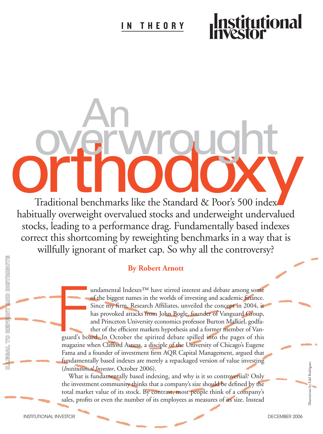## Institutional

Traditional benchmarks like the Standard & Poor's 500 index habitually overweight overvalued stocks and underweight undervalued An Orthodoxy<br>Traditional benchmarks like the Standard & Poor's 500 index

stocks, leading to a performance drag. Fundamentally based indexes correct this shortcoming by reweighting benchmarks in a way that is willfully ignorant of market cap. So why all the controversy?

## **By Robert Arnott**

undamental Indexes™ have stirred interest and debate among some of the biggest names in the worlds of investing and academic finance. Since my firm, Research Affiliates, unveiled the concept in 2004, it has provoked attacks from John Bogle, founder of Vanguard Group, and Princeton University economics professor Burton Malkiel, godfather of the efficient markets hypothesis and a former member of Vanguard's board. In October the spirited debate spilled into the pages of this magazine when Clifford Asness, a disciple of the University of Chicago's Eugene Fama and a founder of investment firm AQR Capital Management, argued that fundamentally based indexes are merely a repackaged version of value investing (*Institutional Investor*, October 2006). and is both and the set of the set of the set of the set of the set of the set of the set of the set of the set of the set of the set of the set of the set of the set of the set of the set of the set of the set of the set

What is fundamentally based indexing, and why is it so controversial? Only the investment community thinks that a company's size should be defined by the total market value of its stock. By contrast, most people think of a company's sales, profits or even the number of its employees as measures of its size. Instead

Illustrations by Edel Rodriguez

Ilustrations by Edel Rodriguez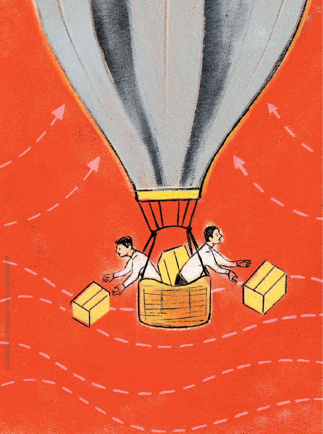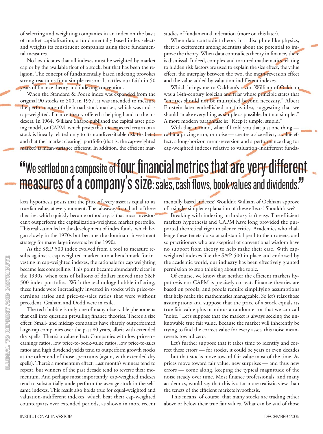of selecting and weighting companies in an index on the basis of market capitalization, a fundamentally based index selects and weights its constituent companies using these fundamental measures.

No law dictates that all indexes must be weighted by market cap or by the available float of a stock, but that has been the religion. The concept of fundamentally based indexing provokes strong reactions for a simple reason: It rattles our faith in 50 years of finance theory and indexing convention.

When the Standard & Poor's index was expanded from the original 90 stocks to 500, in 1957, it was intended to measure the performance of the broad stock market, which was and is cap-weighted. Finance theory offered a helping hand to the indexers. In 1964, William Sharpe published the capital asset pricing model, or CAPM, which posits that the expected return on a stock is linearly related only to its nondiversifiable risk (its beta) and that the "market clearing" portfolio (that is, the cap-weighted market) is mean-variance efficient. In addition, the efficient marstudies of fundamental indexation (more on this later).

When data contradict theory in a discipline like physics, there is excitement among scientists about the potential to improve the theory. When data contradicts theory in finance, there is dismissal. Indeed, complex and tortured mathematics relating to hidden risk factors are used to explain the size effect, the value effect, the interplay between the two, the mean-reversion effect and the value added by valuation-indifferent indexes.

Which brings me to Ockham's razor. William of Ockham was a 14th-century logician and friar whose principle states that "entities should not be multiplied beyond necessity." Albert Einstein later embellished on this idea, suggesting that we should "make everything as simple as possible, but not simpler." A more modern paraphrase is: "Keep it simple, stupid."

With that in mind, what if I told you that just one thing call it a pricing error, or noise — creates a size effect, a value effect, a long-horizon mean-reversion and a performance drag for cap-weighted indexes relative to valuation-indifferent funda-

## "<br>M We settled on a composite of four financial metrics that are very different measures of a company's size: sales, cash flows, book values and dividends."

kets hypothesis posits that the price of every asset is equal to its true fair value, at every moment. The takeaway from both of these theories, which quickly became orthodoxy, is that most investors can't outperform the capitalization-weighted market portfolio. This realization led to the development of index funds, which began slowly in the 1970s but became the dominant investment strategy for many large investors by the 1990s.

As the S&P 500 index evolved from a tool to measure results against a cap-weighted market into a benchmark for investing in cap-weighted indexes, the rationale for cap weighting became less compelling. This point became abundantly clear in the 1990s, when tens of billions of dollars moved into S&P 500 index portfolios. With the technology bubble inflating, these funds were increasingly invested in stocks with price-toearnings ratios and price-to-sales ratios that were without precedent. Graham and Dodd were in exile.

The tech bubble is only one of many observable phenomena that call into question prevailing finance theories. There's a size effect: Small- and midcap companies have sharply outperformed large-cap companies over the past 80 years, albeit with extended dry spells. There's a value effect: Companies with low price-toearnings ratios, low price-to-book-value ratios, low price-to-sales ratios and high dividend yields tend to outperform growth stocks at the other end of those spectrums (again, with extended dry spells). There's a momentum effect: Last month's winners tend to repeat, but winners of the past decade tend to reverse their momentum. And perhaps most importantly, cap-weighted indexes tend to substantially underperform the average stock in the selfsame indexes. This result also holds true for equal-weighted and valuation-indifferent indexes, which beat their cap-weighted counterparts over extended periods, as shown in more recent mentally based indexes? Wouldn't William of Ockham approve of a single, simpler explanation of these effects? Shouldn't we?

Breaking with indexing orthodoxy isn't easy. The efficient markets hypothesis and CAPM have long provided the purported theoretical rigor to silence critics. Academics who challenge these tenets do so at substantial peril to their careers, and so practitioners who are skeptical of conventional wisdom have no support from theory to help make their case. With capweighted indexes like the S&P 500 in place and endorsed by the academic world, our industry has been effectively granted permission to stop thinking about the topic.

Of course, we know that neither the efficient markets hypothesis nor CAPM is precisely correct. Finance theories are based on proofs, and proofs require simplifying assumptions that help make the mathematics manageable. So let's relax those assumptions and suppose that the price of a stock equals its true fair value plus or minus a random error that we can call "noise." Let's suppose that the market is always seeking the unknowable true fair value. Because the market will inherently be trying to find the correct value for every asset, this noise meanreverts toward zero.

Let's further suppose that it takes time to identify and correct these errors — for stocks, it could be years or even decades — but that stocks move toward fair value most of the time. As prices move toward fair value, new surprises — and thus new errors — come along, keeping the typical magnitude of the noise steady over time. Most finance professionals, and many academics, would say that this is a far more realistic view than the tenets of the efficient markets hypothesis.

This means, of course, that many stocks are trading either above or below their true fair values. What can be said of those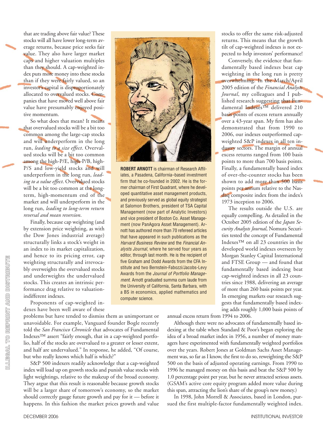that are trading above fair value? These stocks will all have lower long-term average returns, because price seeks fair value. They also have larger market caps and higher valuation multiples than they should. A cap-weighted index puts more money into these stocks than if they were fairly valued, so an investor's capital is disproportionately allocated to overvalued stocks. Companies that have moved well above fair value have presumably enjoyed positive momentum.

So what does that mean? It means that overvalued stocks will be a bit too common among the large-cap stocks and will underperform in the long run, *leading to a size effect*. Overvalued stocks will be a bit too common among the high-P/E, high-P/B, high-P/S and low-yield stocks and will underperform in the long run, *leading to a value effect*. Overvalued stocks will be a bit too common at the longterm, high-momentum end of the market and will underperform in the long run, *leading to long-term return reversal and mean reversion*.

Finally, because cap weighting (and by extension price weighting, as with the Dow Jones industrial average) structurally links a stock's weight in an index to its market capitalization, and hence to its pricing error, cap weighting structurally and irrevocably overweights the overvalued stocks and underweights the undervalued stocks. This creates an intrinsic performance drag relative to valuationindifferent indexes.

Proponents of cap-weighted indexes have been well aware of these

problems but have tended to dismiss them as unimportant or unavoidable. For example, Vanguard founder Bogle recently told the *San Francisco Chronicle* that advocates of Fundamental Indexes™ assert "fairly enough, that in a cap-weighted portfolio, half of the stocks are overvalued to a greater or lesser extent, and half are undervalued." In response, he added, "Of course, but who really knows which half is which?"

S&P 500 indexers readily acknowledge that a cap-weighted index will load up on growth stocks and punish value stocks with light weightings, relative to the makeup of the broad economy. They argue that this result is reasonable because growth stocks will be a larger share of tomorrow's economy, so the market should correctly gauge future growth and pay for it — before it happens. In this fashion the market prices growth and value



**ROBERT ARNOTT** is chairman of Research Affiliates, a Pasadena, California–based investment firm that he co-founded in 2002. He is the former chairman of First Quadrant, where he developed quantitative asset management products, and previously served as global equity strategist at Salomon Brothers, president of TSA Capital Management (now part of Analytic Investors) and vice president of Boston Co. Asset Management (now PanAgora Asset Management). Arnott has authored more than 70 refereed articles that have appeared in such publications as the Harvard Business Review and the Financial Analysts Journal, where he served four years as editor, through last month. He is the recipient of five Graham and Dodd Awards from the CFA Institute and two Bernstein-Fabozzi/Jacobs-Levy Awards from the Journal of Portfolio Management. Arnott graduated summa cum laude from the University of California, Santa Barbara, with a BS in economics, applied mathematics and computer science.

stocks to offer the same risk-adjusted returns. This means that the growth tilt of cap-weighted indexes is not expected to help investors' performance!

Conversely, the evidence that fundamentally based indexes beat cap weighting in the long run is pretty overwhelming. In the March/April 2005 edition of the *Financial Analysts Journal*, my colleagues and I published research suggesting that Fundamental Indexes™ delivered 210 basis points of excess return annually over a 43-year span. My firm has also demonstrated that from 1990 to 2006, our indexes outperformed capweighted S&P indexes in all ten industry sectors. The margin of annual excess returns ranged from 100 basis points to more than 700 basis points. Finally, a fundamentally based index of over-the-counter stocks has been shown to add more than 500 basis points per annum relative to the Nasdaq composite index from the index's 1973 inception to 2006.

The results outside the U.S. are equally compelling. As detailed in the October 2005 edition of the *Japan Security Analysts Journal*, Nomura Securities tested the concept of Fundamental Indexes™ on all 23 countries in the developed world indexes overseen by Morgan Stanley Capital International and FTSE Group — and found that fundamentally based indexing beat cap-weighted indexes in all 23 countries since 1988, delivering an average of more than 260 basis points per year. In emerging markets our research suggests that fundamentally based indexing adds roughly 1,000 basis points of

annual excess return from 1994 to 2006.

Although there were no advocates of fundamentally based indexing at the table when Standard & Poor's began exploring the idea of a broad market index in 1956, a number of money managers have experimented with fundamentally weighted portfolios over the years. Robert Jones at Goldman Sachs Asset Management was, so far as I know, the first to do so, reweighting the S&P 500 on the basis of adjusted operating earnings. From 1990 to 1996 he managed money on this basis and beat the S&P 500 by 1.0 percentage point per year, but he never attracted serious assets. (GSAM's active core equity program added more value during this span, attracting the lion's share of the group's new money.)

In 1998, John Morrell & Associates, based in London, pursued the first multiple-factor fundamentally weighted index.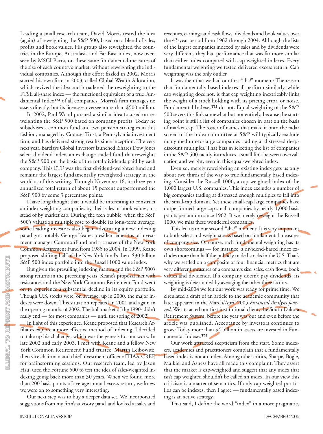Leading a small research team, David Morris tested the idea (again) of reweighting the S&P 500, based on a blend of sales, profits and book values. His group also reweighted the countries in the Europe, Australasia and Far East index, now overseen by MSCI Barra, on these same fundamental measures of the size of each country's market, without reweighting the individual companies. Although this effort fizzled in 2002, Morris started his own firm in 2003, called Global Wealth Allocation, which revived the idea and broadened the reweighting to the FTSE all-share index — the functional equivalent of a true Fundamental Index™ of all companies. Morris's firm manages no assets directly, but its licensees oversee more than \$500 million.

In 2002, Paul Wood pursued a similar idea focused on reweighting the S&P 500 based on company profits. Today he subadvises a common fund and two pension strategies in this fashion, managed by Counsel Trust, a Pennsylvania investment firm, and has delivered strong results since inception. The very next year, Barclays Global Investors launched iShares Dow Jones select dividend index, an exchange-traded fund that reweights the S&P 900 on the basis of the total dividends paid by each company. This ETF was the first dividend-weighted fund and remains the largest fundamentally reweighted strategy in the world as of this writing. Through November 16, its three-year annualized total return of about 15 percent outperformed the S&P 900 by some 3 percentage points.

I have long thought that it would be interesting to construct an index weighting companies by their sales or book values, instead of by market cap. During the tech bubble, when the S&P 500's valuation multiple rose to double its long-term average, some leading investors also began advocating a new indexing paradigm, notably George Keane, president emeritus of investment manager CommonFund and a trustee of the New York Common Retirement Fund from 1985 to 2004. In 1999, Keane proposed shifting half of the New York fund's then–\$30 billion S&P 500 index portfolio into the Russell 1000 value index.

But given the prevailing indexing mantra and the S&P 500's strong returns in the preceding years, Keane's proposal met with resistance, and the New York Common Retirement Fund went on to experience a substantial decline in its equity portfolio. Though U.S. stocks were, on average, up in 2000, the major indexes were down. This situation repeated in 2001 and again in the opening months of 2002. The bull market of the 1990s didn't really end — for most companies — until the spring of 2002!

In light of this experience, Keane proposed that Research Affiliates explore a more effective method of indexing. I decided to take up his challenge, which was the genesis for our work. In late 2002 and early 2003, I met with Keane and a fellow New York Common Retirement Fund trustee, Martin Leibowitz, then vice chairman and chief investment officer of TIAA-CREF, for brainstorming sessions. Our research team, led by Jason Hsu, used the Fortune 500 to test the idea of sales-weighted indexing going back more than 30 years. When we found more than 200 basis points of average annual excess return, we knew we were on to something very interesting.

Our next step was to buy a deeper data set. We incorporated suggestions from my firm's advisory panel and looked at sales and revenues, earnings and cash flows, dividends and book values over the 43-year period from 1962 through 2004. Although the lists of the largest companies indexed by sales and by dividends were very different, they had performance that was far more similar than either index compared with cap-weighted indexes. Every fundamental weighting we tested delivered excess return. Cap weighting was the only outlier.

It was then that we had our first "aha!" moment: The reason that fundamentally based indexes all perform similarly, while cap weighting does not, is that cap weighting inextricably links the weight of a stock holding with its pricing error, or noise. Fundamental Indexes™ do not. Equal weighting of the S&P 500 severs this link somewhat but not entirely, because the starting point is still a list of companies chosen in part on the basis of market cap. The roster of names that make it onto the radar screen of the index committee at S&P will typically exclude many medium-to-large companies trading at distressed deepdiscount multiples. That bias in selecting the list of companies in the S&P 500 tacitly introduces a small link between overvaluation and weight, even in this equal-weighted index.

Even so, merely reweighting an existing index gets us only about two thirds of the way to true fundamentally based indexing. Consider the Russell 1000, a cap-weighted index of the 1,000 largest U.S. companies. This index excludes a number of big companies trading at distressed enough multiples to fall into the small-cap domain. Yet these small-cap large companies have outperformed large-cap small companies by nearly 1,000 basis points per annum since 1962. If we merely reweight the Russell 1000, we miss these wonderful companies.

This led us to our second "aha!" moment: It is very important to both select and weight stocks based on fundamental measures of company size. Of course, each fundamental weighting has its own shortcomings — for instance, a dividend-based index excludes more than half the publicly traded stocks in the U.S. That's why we settled on a composite of four financial metrics that are very different measures of a company's size: sales, cash flows, book values and dividends. If a company doesn't pay dividends, its weighting is determined by averaging the other three factors.

By mid-2004 we felt our work was ready for prime time. We circulated a draft of an article to the academic community that later appeared in the March/April 2005 *Financial Analysts Journal*. We attracted our first institutional client, the South Dakota Retirement System, before the year was out and even before the article was published. Acceptance by investors continues to grow: Today more than \$4 billion in assets are invested in Fundamental Indexes™.

Our work attracted skepticism from the start. Some indexers, academics and practitioners complain that a fundamentally based index is not an index. Among other critics, Sharpe, Bogle, Malkiel and Asness have all made this complaint. They assert that the market is cap-weighted and suggest that any index that isn't cap weighted shouldn't be called an index. In our view this criticism is a matter of semantics. If only cap-weighted portfolios can be indexes, then I agree — fundamentally based indexing is an active strategy.

That said, I define the word "index" in a more pragmatic,